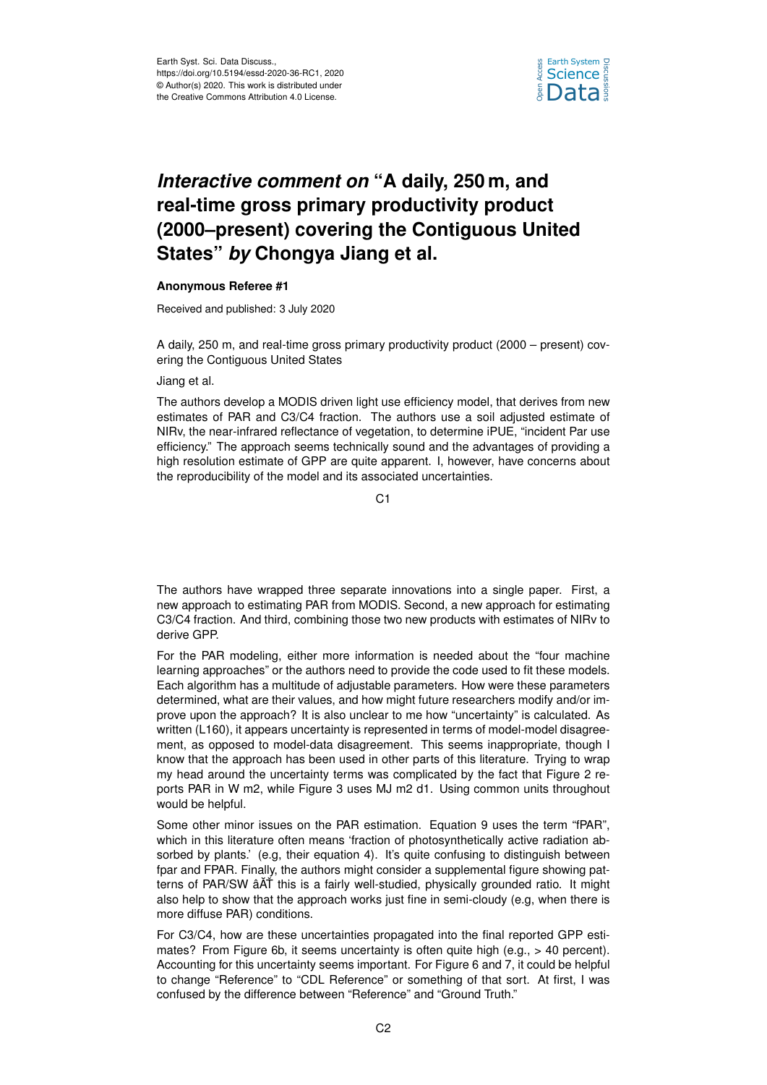

## *Interactive comment on* **"A daily, 250 m, and real-time gross primary productivity product (2000–present) covering the Contiguous United States"** *by* **Chongya Jiang et al.**

## **Anonymous Referee #1**

Received and published: 3 July 2020

A daily, 250 m, and real-time gross primary productivity product (2000 – present) covering the Contiguous United States

## Jiang et al.

The authors develop a MODIS driven light use efficiency model, that derives from new estimates of PAR and C3/C4 fraction. The authors use a soil adjusted estimate of NIRv, the near-infrared reflectance of vegetation, to determine iPUE, "incident Par use efficiency." The approach seems technically sound and the advantages of providing a high resolution estimate of GPP are quite apparent. I, however, have concerns about the reproducibility of the model and its associated uncertainties.

C<sub>1</sub>

The authors have wrapped three separate innovations into a single paper. First, a new approach to estimating PAR from MODIS. Second, a new approach for estimating C3/C4 fraction. And third, combining those two new products with estimates of NIRv to derive GPP.

For the PAR modeling, either more information is needed about the "four machine learning approaches" or the authors need to provide the code used to fit these models. Each algorithm has a multitude of adjustable parameters. How were these parameters determined, what are their values, and how might future researchers modify and/or improve upon the approach? It is also unclear to me how "uncertainty" is calculated. As written (L160), it appears uncertainty is represented in terms of model-model disagreement, as opposed to model-data disagreement. This seems inappropriate, though I know that the approach has been used in other parts of this literature. Trying to wrap my head around the uncertainty terms was complicated by the fact that Figure 2 reports PAR in W m2, while Figure 3 uses MJ m2 d1. Using common units throughout would be helpful.

Some other minor issues on the PAR estimation. Equation 9 uses the term "fPAR", which in this literature often means 'fraction of photosynthetically active radiation absorbed by plants.' (e.g, their equation 4). It's quite confusing to distinguish between fpar and FPAR. Finally, the authors might consider a supplemental figure showing patterns of PAR/SW âĂŤ this is a fairly well-studied, physically grounded ratio. It might also help to show that the approach works just fine in semi-cloudy (e.g, when there is more diffuse PAR) conditions.

For C3/C4, how are these uncertainties propagated into the final reported GPP estimates? From Figure 6b, it seems uncertainty is often quite high (e.g., > 40 percent). Accounting for this uncertainty seems important. For Figure 6 and 7, it could be helpful to change "Reference" to "CDL Reference" or something of that sort. At first, I was confused by the difference between "Reference" and "Ground Truth."